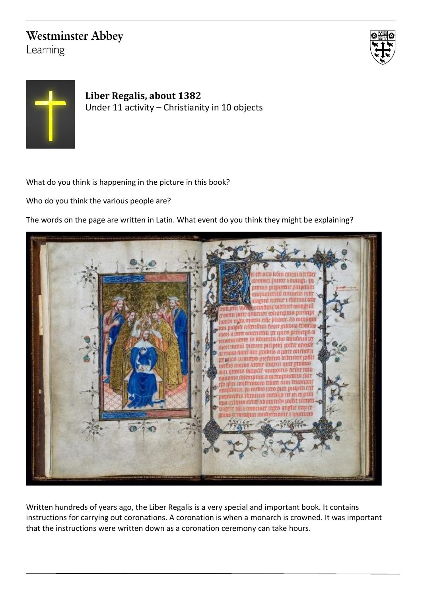## **Westminster Abbey**

Learning





**Liber Regalis, about 1382** Under 11 activity – Christianity in 10 objects

What do you think is happening in the picture in this book?

Who do you think the various people are?

The words on the page are written in Latin. What event do you think they might be explaining?



Written hundreds of years ago, the Liber Regalis is a very special and important book. It contains instructions for carrying out coronations. A coronation is when a monarch is crowned. It was important that the instructions were written down as a coronation ceremony can take hours.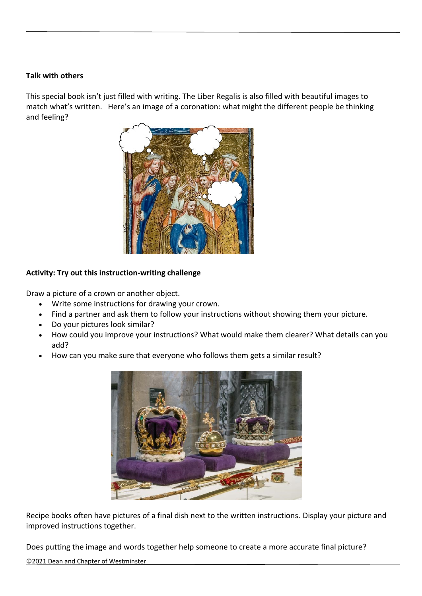## **Talk with others**

This special book isn't just filled with writing. The Liber Regalis is also filled with beautiful images to match what's written. Here's an image of a coronation: what might the different people be thinking and feeling?



## **Activity: Try out this instruction-writing challenge**

Draw a picture of a crown or another object.

- Write some instructions for drawing your crown.
- Find a partner and ask them to follow your instructions without showing them your picture.
- Do your pictures look similar?
- How could you improve your instructions? What would make them clearer? What details can you add?
- How can you make sure that everyone who follows them gets a similar result?



Recipe books often have pictures of a final dish next to the written instructions. Display your picture and improved instructions together.

Does putting the image and words together help someone to create a more accurate final picture?